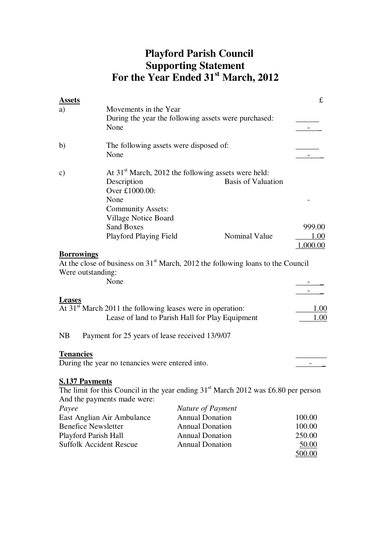# **Playford Parish Council Supporting Statement For the Year Ended 31st March, 2012**

| <b>Assets</b>                                            |                                                 |                                                                                      | £        |  |  |  |  |
|----------------------------------------------------------|-------------------------------------------------|--------------------------------------------------------------------------------------|----------|--|--|--|--|
| a)                                                       | Movements in the Year                           |                                                                                      |          |  |  |  |  |
|                                                          |                                                 | During the year the following assets were purchased:                                 |          |  |  |  |  |
|                                                          | None                                            |                                                                                      |          |  |  |  |  |
| b)                                                       |                                                 | The following assets were disposed of:                                               |          |  |  |  |  |
|                                                          | None                                            |                                                                                      |          |  |  |  |  |
| $\mathbf{c})$                                            |                                                 | At $31st$ March, 2012 the following assets were held:                                |          |  |  |  |  |
|                                                          | Description                                     | <b>Basis of Valuation</b>                                                            |          |  |  |  |  |
|                                                          | Over £1000.00:                                  |                                                                                      |          |  |  |  |  |
|                                                          | None                                            |                                                                                      |          |  |  |  |  |
|                                                          | <b>Community Assets:</b>                        |                                                                                      |          |  |  |  |  |
|                                                          | Village Notice Board                            |                                                                                      |          |  |  |  |  |
|                                                          | <b>Sand Boxes</b>                               |                                                                                      | 999.00   |  |  |  |  |
|                                                          | Playford Playing Field                          | Nominal Value                                                                        | 1.00     |  |  |  |  |
|                                                          |                                                 |                                                                                      | 1,000.00 |  |  |  |  |
| <b>Borrowings</b><br>Were outstanding:                   | None                                            | At the close of business on $31st$ March, 2012 the following loans to the Council    |          |  |  |  |  |
| <b>Leases</b>                                            |                                                 |                                                                                      |          |  |  |  |  |
|                                                          |                                                 | At 31 <sup>st</sup> March 2011 the following leases were in operation:               | 1.00     |  |  |  |  |
|                                                          |                                                 | Lease of land to Parish Hall for Play Equipment                                      | 1.00     |  |  |  |  |
|                                                          |                                                 |                                                                                      |          |  |  |  |  |
| NB                                                       | Payment for 25 years of lease received 13/9/07  |                                                                                      |          |  |  |  |  |
| <b>Tenancies</b>                                         |                                                 |                                                                                      |          |  |  |  |  |
|                                                          | During the year no tenancies were entered into. |                                                                                      |          |  |  |  |  |
|                                                          |                                                 |                                                                                      |          |  |  |  |  |
| <b>S.137 Payments</b>                                    |                                                 |                                                                                      |          |  |  |  |  |
|                                                          |                                                 | The limit for this Council in the year ending $31st$ March 2012 was £6.80 per person |          |  |  |  |  |
|                                                          | And the payments made were:                     |                                                                                      |          |  |  |  |  |
| Payee                                                    |                                                 | Nature of Payment                                                                    |          |  |  |  |  |
|                                                          | East Anglian Air Ambulance                      | <b>Annual Donation</b>                                                               | 100.00   |  |  |  |  |
|                                                          | <b>Benefice Newsletter</b>                      | <b>Annual Donation</b>                                                               | 100.00   |  |  |  |  |
| Playford Parish Hall                                     | <b>Annual Donation</b>                          | 250.00                                                                               |          |  |  |  |  |
| <b>Suffolk Accident Rescue</b><br><b>Annual Donation</b> |                                                 |                                                                                      |          |  |  |  |  |
|                                                          |                                                 |                                                                                      | 500.00   |  |  |  |  |

 $500.00$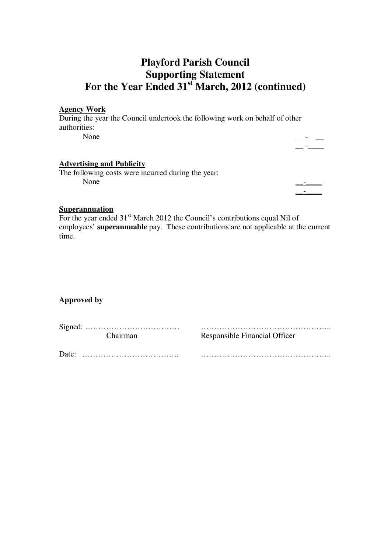## **Playford Parish Council Supporting Statement For the Year Ended 31st March, 2012 (continued)**

#### **Agency Work**

During the year the Council undertook the following work on behalf of other authorities: None  $\qquad \qquad \qquad \qquad$ 

\_\_ -\_\_\_\_

### **Advertising and Publicity**

The following costs were incurred during the year: None  $\qquad \qquad \qquad$ 

 $\mathcal{L}_\text{max} = \frac{1}{2} \sum_{i=1}^n \mathcal{L}_i \mathcal{L}_i$  , where  $\mathcal{L}_\text{max} = \frac{1}{2} \sum_{i=1}^n \mathcal{L}_i$ 

#### **Superannuation**

For the year ended 31<sup>st</sup> March 2012 the Council's contributions equal Nil of employees' **superannuable** pay. These contributions are not applicable at the current time.

#### **Approved by**

Signed: ……………………………… ………………………………………….. Chairman Responsible Financial Officer

Date: ………………………………. …………………………………………..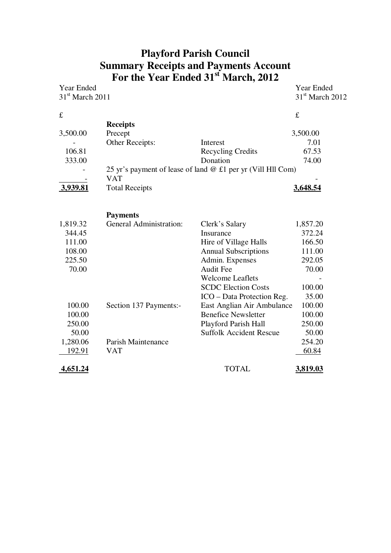### **Playford Parish Council Summary Receipts and Payments Account For the Year Ended 31st March, 2012**

|                       |                                                                                                                        | <b>Year Ended</b><br>$31st$ March 2012                                                                                                                                                                                                                                                                                                                               |
|-----------------------|------------------------------------------------------------------------------------------------------------------------|----------------------------------------------------------------------------------------------------------------------------------------------------------------------------------------------------------------------------------------------------------------------------------------------------------------------------------------------------------------------|
|                       |                                                                                                                        |                                                                                                                                                                                                                                                                                                                                                                      |
|                       |                                                                                                                        | f                                                                                                                                                                                                                                                                                                                                                                    |
| <b>Receipts</b>       |                                                                                                                        |                                                                                                                                                                                                                                                                                                                                                                      |
| Precept               |                                                                                                                        | 3,500.00                                                                                                                                                                                                                                                                                                                                                             |
| Other Receipts:       | Interest                                                                                                               | 7.01                                                                                                                                                                                                                                                                                                                                                                 |
|                       | <b>Recycling Credits</b>                                                                                               | 67.53                                                                                                                                                                                                                                                                                                                                                                |
|                       | Donation                                                                                                               | 74.00                                                                                                                                                                                                                                                                                                                                                                |
|                       |                                                                                                                        |                                                                                                                                                                                                                                                                                                                                                                      |
| <b>VAT</b>            |                                                                                                                        |                                                                                                                                                                                                                                                                                                                                                                      |
| <b>Total Receipts</b> |                                                                                                                        | <u>3,648.54</u>                                                                                                                                                                                                                                                                                                                                                      |
|                       |                                                                                                                        |                                                                                                                                                                                                                                                                                                                                                                      |
|                       |                                                                                                                        | 1,857.20                                                                                                                                                                                                                                                                                                                                                             |
|                       |                                                                                                                        | 372.24                                                                                                                                                                                                                                                                                                                                                               |
|                       |                                                                                                                        | 166.50                                                                                                                                                                                                                                                                                                                                                               |
|                       |                                                                                                                        | 111.00                                                                                                                                                                                                                                                                                                                                                               |
|                       |                                                                                                                        | 292.05                                                                                                                                                                                                                                                                                                                                                               |
|                       |                                                                                                                        | 70.00                                                                                                                                                                                                                                                                                                                                                                |
|                       |                                                                                                                        |                                                                                                                                                                                                                                                                                                                                                                      |
|                       |                                                                                                                        | 100.00                                                                                                                                                                                                                                                                                                                                                               |
|                       |                                                                                                                        | 35.00                                                                                                                                                                                                                                                                                                                                                                |
|                       |                                                                                                                        | 100.00                                                                                                                                                                                                                                                                                                                                                               |
|                       |                                                                                                                        | 100.00                                                                                                                                                                                                                                                                                                                                                               |
|                       |                                                                                                                        | 250.00                                                                                                                                                                                                                                                                                                                                                               |
|                       | <b>Suffolk Accident Rescue</b>                                                                                         | 50.00                                                                                                                                                                                                                                                                                                                                                                |
|                       |                                                                                                                        | 254.20                                                                                                                                                                                                                                                                                                                                                               |
| <b>VAT</b>            |                                                                                                                        | 60.84                                                                                                                                                                                                                                                                                                                                                                |
|                       | <b>TOTAL</b>                                                                                                           | <u>3,819.03</u>                                                                                                                                                                                                                                                                                                                                                      |
|                       | $31st$ March 2011<br><b>Payments</b><br><b>General Administration:</b><br>Section 137 Payments:-<br>Parish Maintenance | 25 yr's payment of lease of land @ £1 per yr (Vill Hll Com)<br>Clerk's Salary<br>Insurance<br>Hire of Village Halls<br><b>Annual Subscriptions</b><br>Admin. Expenses<br><b>Audit Fee</b><br><b>Welcome Leaflets</b><br><b>SCDC Election Costs</b><br>ICO – Data Protection Reg.<br>East Anglian Air Ambulance<br><b>Benefice Newsletter</b><br>Playford Parish Hall |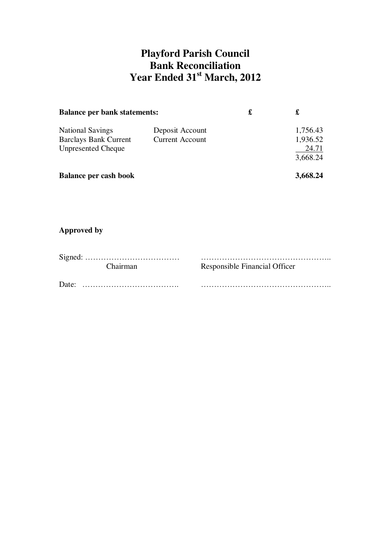## **Playford Parish Council Bank Reconciliation Year Ended 31st March, 2012**

| <b>Balance per bank statements:</b>                                                  | £                                         | £ |                               |
|--------------------------------------------------------------------------------------|-------------------------------------------|---|-------------------------------|
| <b>National Savings</b><br><b>Barclays Bank Current</b><br><b>Unpresented Cheque</b> | Deposit Account<br><b>Current Account</b> |   | 1,756.43<br>1,936.52<br>24.71 |
| <b>Balance per cash book</b>                                                         |                                           |   | 3,668.24<br>3,668.24          |

## **Approved by**

| Chairman | Responsible Financial Officer |
|----------|-------------------------------|
|          |                               |